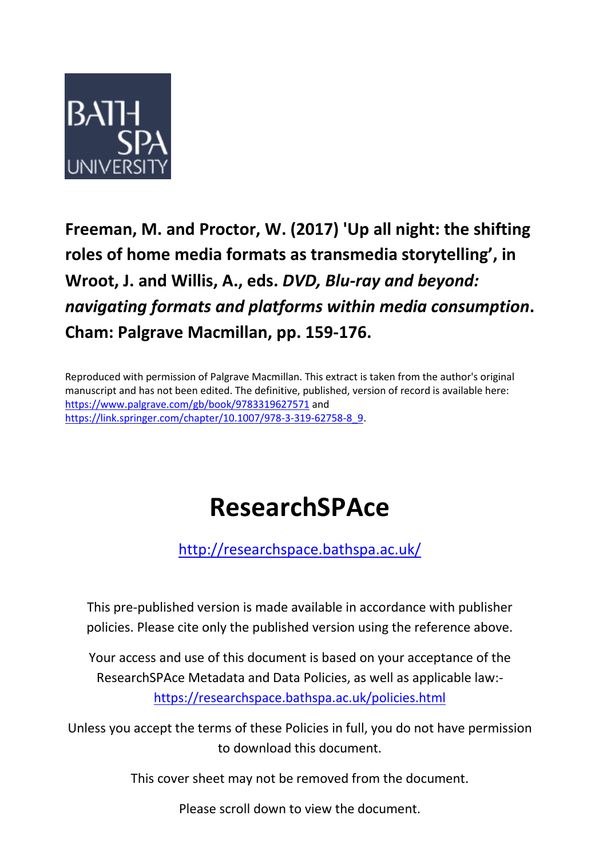

# **Freeman, M. and Proctor, W. (2017) 'Up all night: the shifting roles of home media formats as transmedia storytelling', in Wroot, J. and Willis, A., eds.** *DVD, Blu-ray and beyond: navigating formats and platforms within media consumption***. Cham: Palgrave Macmillan, pp. 159-176.**

Reproduced with permission of Palgrave Macmillan. This extract is taken from the author's original manuscript and has not been edited. The definitive, published, version of record is available here: <https://www.palgrave.com/gb/book/9783319627571> and [https://link.springer.com/chapter/10.1007/978-3-319-62758-8\\_9.](https://link.springer.com/chapter/10.1007/978-3-319-62758-8_9)

# **ResearchSPAce**

<http://researchspace.bathspa.ac.uk/>

This pre-published version is made available in accordance with publisher policies. Please cite only the published version using the reference above.

Your access and use of this document is based on your acceptance of the ResearchSPAce Metadata and Data Policies, as well as applicable law: https://researchspace.bathspa.ac.uk/policies.html

Unless you accept the terms of these Policies in full, you do not have permission to download this document.

This cover sheet may not be removed from the document.

Please scroll down to view the document.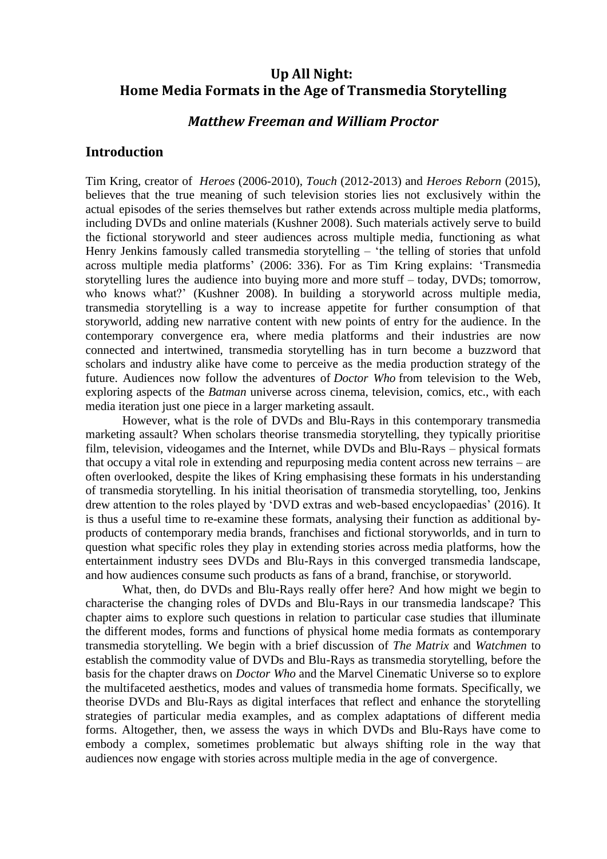## **Up All Night: Home Media Formats in the Age of Transmedia Storytelling**

### *Matthew Freeman and William Proctor*

#### **Introduction**

Tim Kring, creator of *Heroes* (2006-2010), *Touch* (2012-2013) and *Heroes Reborn* (2015), believes that the true meaning of such television stories lies not exclusively within the actual episodes of the series themselves but rather extends across multiple media platforms, including DVDs and online materials (Kushner 2008). Such materials actively serve to build the fictional storyworld and steer audiences across multiple media, functioning as what Henry Jenkins famously called transmedia storytelling – 'the telling of stories that unfold across multiple media platforms' (2006: 336). For as Tim Kring explains: 'Transmedia storytelling lures the audience into buying more and more stuff – today, DVDs; tomorrow, who knows what?' (Kushner 2008). In building a storyworld across multiple media, transmedia storytelling is a way to increase appetite for further consumption of that storyworld, adding new narrative content with new points of entry for the audience. In the contemporary convergence era, where media platforms and their industries are now connected and intertwined, transmedia storytelling has in turn become a buzzword that scholars and industry alike have come to perceive as the media production strategy of the future. Audiences now follow the adventures of *Doctor Who* from television to the Web, exploring aspects of the *Batman* universe across cinema, television, comics, etc., with each media iteration just one piece in a larger marketing assault.

However, what is the role of DVDs and Blu-Rays in this contemporary transmedia marketing assault? When scholars theorise transmedia storytelling, they typically prioritise film, television, videogames and the Internet, while DVDs and Blu-Rays – physical formats that occupy a vital role in extending and repurposing media content across new terrains – are often overlooked, despite the likes of Kring emphasising these formats in his understanding of transmedia storytelling. In his initial theorisation of transmedia storytelling, too, Jenkins drew attention to the roles played by 'DVD extras and web-based encyclopaedias' (2016). It is thus a useful time to re-examine these formats, analysing their function as additional byproducts of contemporary media brands, franchises and fictional storyworlds, and in turn to question what specific roles they play in extending stories across media platforms, how the entertainment industry sees DVDs and Blu-Rays in this converged transmedia landscape, and how audiences consume such products as fans of a brand, franchise, or storyworld.

What, then, do DVDs and Blu-Rays really offer here? And how might we begin to characterise the changing roles of DVDs and Blu-Rays in our transmedia landscape? This chapter aims to explore such questions in relation to particular case studies that illuminate the different modes, forms and functions of physical home media formats as contemporary transmedia storytelling. We begin with a brief discussion of *The Matrix* and *Watchmen* to establish the commodity value of DVDs and Blu-Rays as transmedia storytelling, before the basis for the chapter draws on *Doctor Who* and the Marvel Cinematic Universe so to explore the multifaceted aesthetics, modes and values of transmedia home formats. Specifically, we theorise DVDs and Blu-Rays as digital interfaces that reflect and enhance the storytelling strategies of particular media examples, and as complex adaptations of different media forms. Altogether, then, we assess the ways in which DVDs and Blu-Rays have come to embody a complex, sometimes problematic but always shifting role in the way that audiences now engage with stories across multiple media in the age of convergence.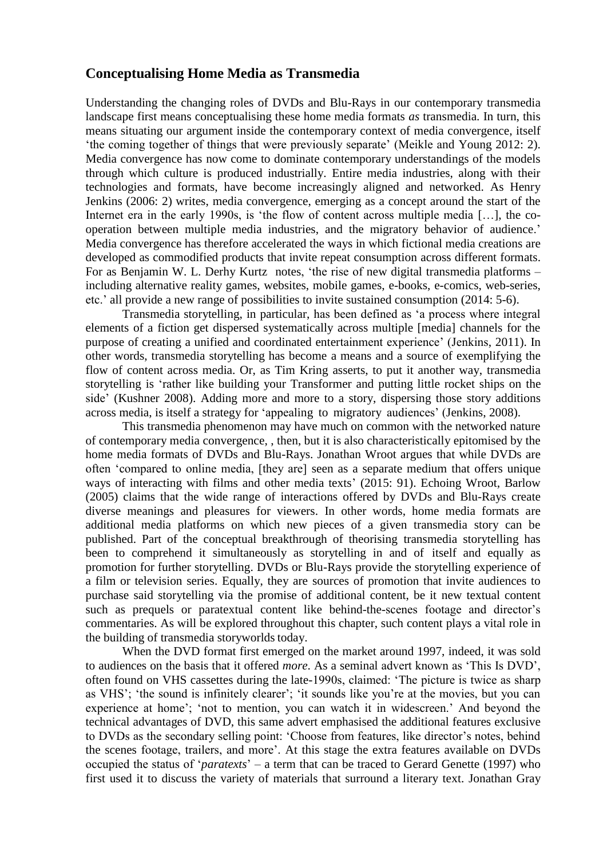#### **Conceptualising Home Media as Transmedia**

Understanding the changing roles of DVDs and Blu-Rays in our contemporary transmedia landscape first means conceptualising these home media formats *as* transmedia. In turn, this means situating our argument inside the contemporary context of media convergence, itself 'the coming together of things that were previously separate' (Meikle and Young 2012: 2). Media convergence has now come to dominate contemporary understandings of the models through which culture is produced industrially. Entire media industries, along with their technologies and formats, have become increasingly aligned and networked. As Henry Jenkins (2006: 2) writes, media convergence, emerging as a concept around the start of the Internet era in the early 1990s, is 'the flow of content across multiple media [...], the cooperation between multiple media industries, and the migratory behavior of audience.' Media convergence has therefore accelerated the ways in which fictional media creations are developed as commodified products that invite repeat consumption across different formats. For as Benjamin W. L. Derhy Kurtz notes, 'the rise of new digital transmedia platforms – including alternative reality games, websites, mobile games, e-books, e-comics, web-series, etc.' all provide a new range of possibilities to invite sustained consumption (2014: 5-6).

Transmedia storytelling, in particular, has been defined as 'a process where integral elements of a fiction get dispersed systematically across multiple [media] channels for the purpose of creating a unified and coordinated entertainment experience' (Jenkins, 2011). In other words, transmedia storytelling has become a means and a source of exemplifying the flow of content across media. Or, as Tim Kring asserts, to put it another way, transmedia storytelling is 'rather like building your Transformer and putting little rocket ships on the side' (Kushner 2008). Adding more and more to a story, dispersing those story additions across media, is itself a strategy for 'appealing to migratory audiences' (Jenkins, 2008).

This transmedia phenomenon may have much on common with the networked nature of contemporary media convergence, , then, but it is also characteristically epitomised by the home media formats of DVDs and Blu-Rays. Jonathan Wroot argues that while DVDs are often 'compared to online media, [they are] seen as a separate medium that offers unique ways of interacting with films and other media texts' (2015: 91). Echoing Wroot, Barlow (2005) claims that the wide range of interactions offered by DVDs and Blu-Rays create diverse meanings and pleasures for viewers. In other words, home media formats are additional media platforms on which new pieces of a given transmedia story can be published. Part of the conceptual breakthrough of theorising transmedia storytelling has been to comprehend it simultaneously as storytelling in and of itself and equally as promotion for further storytelling. DVDs or Blu-Rays provide the storytelling experience of a film or television series. Equally, they are sources of promotion that invite audiences to purchase said storytelling via the promise of additional content, be it new textual content such as prequels or paratextual content like behind-the-scenes footage and director's commentaries. As will be explored throughout this chapter, such content plays a vital role in the building of transmedia storyworlds today.

When the DVD format first emerged on the market around 1997, indeed, it was sold to audiences on the basis that it offered *more*. As a seminal advert known as 'This Is DVD', often found on VHS cassettes during the late-1990s, claimed: 'The picture is twice as sharp as VHS'; 'the sound is infinitely clearer'; 'it sounds like you're at the movies, but you can experience at home'; 'not to mention, you can watch it in widescreen.' And beyond the technical advantages of DVD, this same advert emphasised the additional features exclusive to DVDs as the secondary selling point: 'Choose from features, like director's notes, behind the scenes footage, trailers, and more'. At this stage the extra features available on DVDs occupied the status of '*paratexts*' – a term that can be traced to Gerard Genette (1997) who first used it to discuss the variety of materials that surround a literary text. Jonathan Gray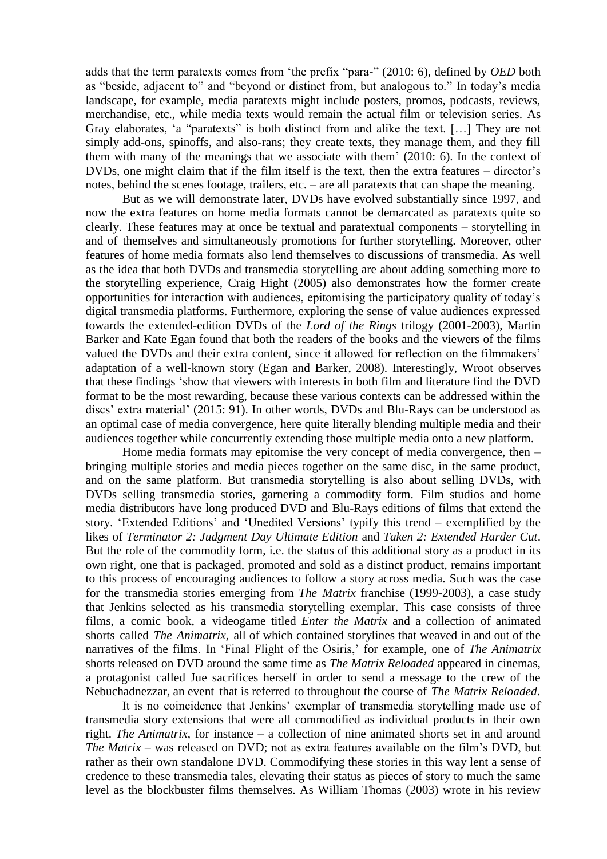adds that the term paratexts comes from 'the prefix "para-" (2010: 6), defined by *OED* both as "beside, adjacent to" and "beyond or distinct from, but analogous to." In today's media landscape, for example, media paratexts might include posters, promos, podcasts, reviews, merchandise, etc., while media texts would remain the actual film or television series. As Gray elaborates, 'a "paratexts" is both distinct from and alike the text. […] They are not simply add-ons, spinoffs, and also-rans; they create texts, they manage them, and they fill them with many of the meanings that we associate with them' (2010: 6). In the context of DVDs, one might claim that if the film itself is the text, then the extra features – director's notes, behind the scenes footage, trailers, etc. – are all paratexts that can shape the meaning.

But as we will demonstrate later, DVDs have evolved substantially since 1997, and now the extra features on home media formats cannot be demarcated as paratexts quite so clearly. These features may at once be textual and paratextual components – storytelling in and of themselves and simultaneously promotions for further storytelling. Moreover, other features of home media formats also lend themselves to discussions of transmedia. As well as the idea that both DVDs and transmedia storytelling are about adding something more to the storytelling experience, Craig Hight (2005) also demonstrates how the former create opportunities for interaction with audiences, epitomising the participatory quality of today's digital transmedia platforms. Furthermore, exploring the sense of value audiences expressed towards the extended-edition DVDs of the *Lord of the Rings* trilogy (2001-2003), Martin Barker and Kate Egan found that both the readers of the books and the viewers of the films valued the DVDs and their extra content, since it allowed for reflection on the filmmakers' adaptation of a well-known story (Egan and Barker, 2008). Interestingly, Wroot observes that these findings 'show that viewers with interests in both film and literature find the DVD format to be the most rewarding, because these various contexts can be addressed within the discs' extra material' (2015: 91). In other words, DVDs and Blu-Rays can be understood as an optimal case of media convergence, here quite literally blending multiple media and their audiences together while concurrently extending those multiple media onto a new platform.

Home media formats may epitomise the very concept of media convergence, then – bringing multiple stories and media pieces together on the same disc, in the same product, and on the same platform. But transmedia storytelling is also about selling DVDs, with DVDs selling transmedia stories, garnering a commodity form. Film studios and home media distributors have long produced DVD and Blu-Rays editions of films that extend the story. 'Extended Editions' and 'Unedited Versions' typify this trend – exemplified by the likes of *Terminator 2: Judgment Day Ultimate Edition* and *Taken 2: Extended Harder Cut*. But the role of the commodity form, i.e. the status of this additional story as a product in its own right, one that is packaged, promoted and sold as a distinct product, remains important to this process of encouraging audiences to follow a story across media. Such was the case for the transmedia stories emerging from *The Matrix* franchise (1999-2003), a case study that Jenkins selected as his transmedia storytelling exemplar. This case consists of three films, a comic book, a videogame titled *Enter the Matrix* and a collection of animated shorts called *The Animatrix*, all of which contained storylines that weaved in and out of the narratives of the films. In 'Final Flight of the Osiris,' for example, one of *The Animatrix*  shorts released on DVD around the same time as *The Matrix Reloaded* appeared in cinemas, a protagonist called Jue sacrifices herself in order to send a message to the crew of the Nebuchadnezzar, an event that is referred to throughout the course of *The Matrix Reloaded*.

It is no coincidence that Jenkins' exemplar of transmedia storytelling made use of transmedia story extensions that were all commodified as individual products in their own right. *The Animatrix*, for instance – a collection of nine animated shorts set in and around *The Matrix* – was released on DVD; not as extra features available on the film's DVD, but rather as their own standalone DVD. Commodifying these stories in this way lent a sense of credence to these transmedia tales, elevating their status as pieces of story to much the same level as the blockbuster films themselves. As William Thomas (2003) wrote in his review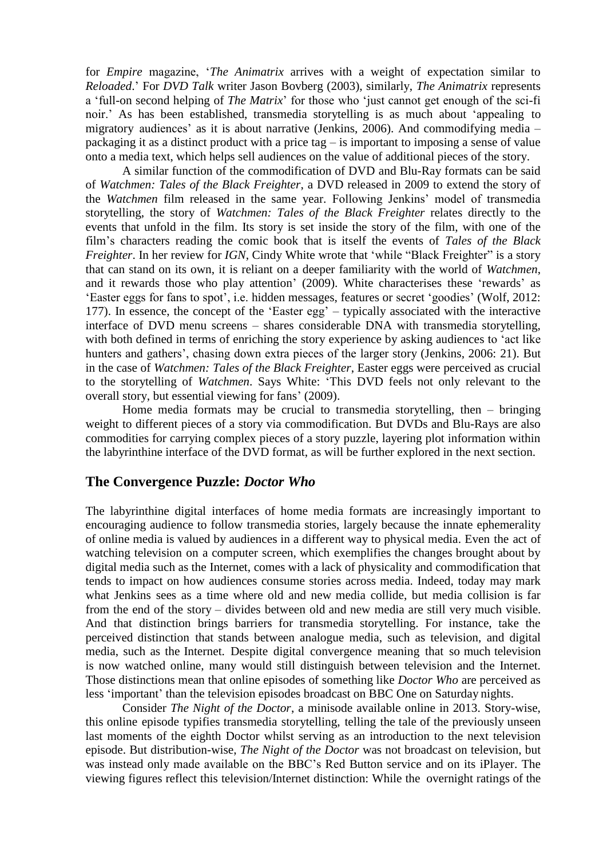for *Empire* magazine, '*The Animatrix* arrives with a weight of expectation similar to *Reloaded*.' For *DVD Talk* writer Jason Bovberg (2003), similarly, *The Animatrix* represents a 'full-on second helping of *The Matrix*' for those who 'just cannot get enough of the sci-fi noir.' As has been established, transmedia storytelling is as much about 'appealing to migratory audiences' as it is about narrative (Jenkins, 2006). And commodifying media – packaging it as a distinct product with a price tag – is important to imposing a sense of value onto a media text, which helps sell audiences on the value of additional pieces of the story.

A similar function of the commodification of DVD and Blu-Ray formats can be said of *Watchmen: Tales of the Black Freighter*, a DVD released in 2009 to extend the story of the *Watchmen* film released in the same year. Following Jenkins' model of transmedia storytelling, the story of *Watchmen: Tales of the Black Freighter* relates directly to the events that unfold in the film. Its story is set inside the story of the film, with one of the film's characters reading the comic book that is itself the events of *Tales of the Black Freighter*. In her review for *IGN*, Cindy White wrote that 'while "Black Freighter" is a story that can stand on its own, it is reliant on a deeper familiarity with the world of *Watchmen*, and it rewards those who play attention' (2009). White characterises these 'rewards' as 'Easter eggs for fans to spot', i.e. hidden messages, features or secret 'goodies' (Wolf, 2012: 177). In essence, the concept of the 'Easter egg' – typically associated with the interactive interface of DVD menu screens – shares considerable DNA with transmedia storytelling, with both defined in terms of enriching the story experience by asking audiences to 'act like hunters and gathers', chasing down extra pieces of the larger story (Jenkins, 2006: 21). But in the case of *Watchmen: Tales of the Black Freighter*, Easter eggs were perceived as crucial to the storytelling of *Watchmen*. Says White: 'This DVD feels not only relevant to the overall story, but essential viewing for fans' (2009).

Home media formats may be crucial to transmedia storytelling, then  $-$  bringing weight to different pieces of a story via commodification. But DVDs and Blu-Rays are also commodities for carrying complex pieces of a story puzzle, layering plot information within the labyrinthine interface of the DVD format, as will be further explored in the next section.

#### **The Convergence Puzzle:** *Doctor Who*

The labyrinthine digital interfaces of home media formats are increasingly important to encouraging audience to follow transmedia stories, largely because the innate ephemerality of online media is valued by audiences in a different way to physical media. Even the act of watching television on a computer screen, which exemplifies the changes brought about by digital media such as the Internet, comes with a lack of physicality and commodification that tends to impact on how audiences consume stories across media. Indeed, today may mark what Jenkins sees as a time where old and new media collide, but media collision is far from the end of the story – divides between old and new media are still very much visible. And that distinction brings barriers for transmedia storytelling. For instance, take the perceived distinction that stands between analogue media, such as television, and digital media, such as the Internet. Despite digital convergence meaning that so much television is now watched online, many would still distinguish between television and the Internet. Those distinctions mean that online episodes of something like *Doctor Who* are perceived as less 'important' than the television episodes broadcast on BBC One on Saturday nights.

Consider *The Night of the Doctor*, a minisode available online in 2013. Story-wise, this online episode typifies transmedia storytelling, telling the tale of the previously unseen last moments of the eighth Doctor whilst serving as an introduction to the next television episode. But distribution-wise, *The Night of the Doctor* was not broadcast on television, but was instead only made available on the BBC's Red Button service and on its iPlayer. The viewing figures reflect this television/Internet distinction: While the overnight ratings of the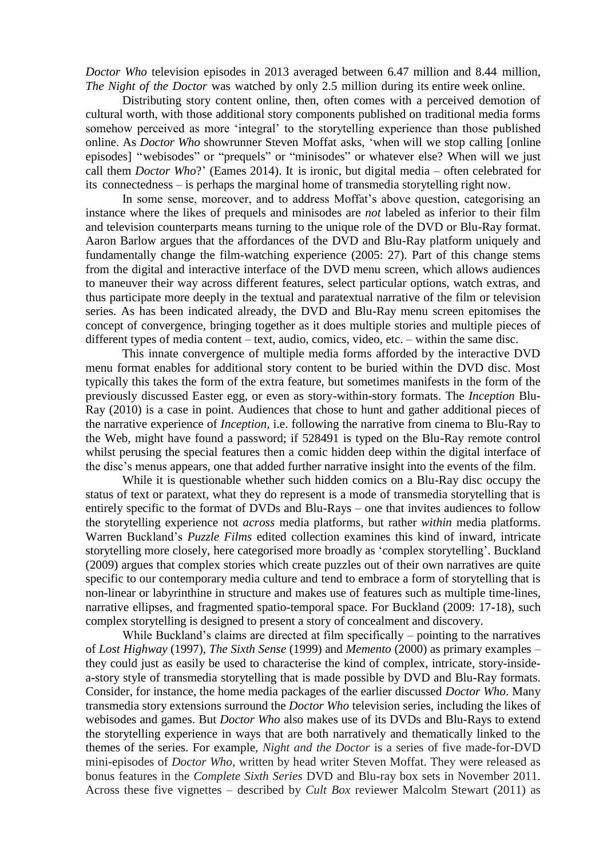*Doctor Who* television episodes in 2013 averaged between 6.47 million and 8.44 million, *The Night of the Doctor* was watched by only 2.5 million during its entire week online.

Distributing story content online, then, often comes with a perceived demotion of cultural worth, with those additional story components published on traditional media forms somehow perceived as more 'integral' to the storytelling experience than those published online. As *Doctor Who* showrunner Steven Moffat asks, 'when will we stop calling [online episodes] "webisodes" or "prequels" or "minisodes" or whatever else? When will we just call them *Doctor Who*?' (Eames 2014). It is ironic, but digital media – often celebrated for its connectedness – is perhaps the marginal home of transmedia storytelling right now.

In some sense, moreover, and to address Moffat's above question, categorising an instance where the likes of prequels and minisodes are *not* labeled as inferior to their film and television counterparts means turning to the unique role of the DVD or Blu-Ray format. Aaron Barlow argues that the affordances of the DVD and Blu-Ray platform uniquely and fundamentally change the film-watching experience (2005: 27). Part of this change stems from the digital and interactive interface of the DVD menu screen, which allows audiences to maneuver their way across different features, select particular options, watch extras, and thus participate more deeply in the textual and paratextual narrative of the film or television series. As has been indicated already, the DVD and Blu-Ray menu screen epitomises the concept of convergence, bringing together as it does multiple stories and multiple pieces of different types of media content – text, audio, comics, video, etc. – within the same disc.

This innate convergence of multiple media forms afforded by the interactive DVD menu format enables for additional story content to be buried within the DVD disc. Most typically this takes the form of the extra feature, but sometimes manifests in the form of the previously discussed Easter egg, or even as story-within-story formats. The *Inception* Blu-Ray (2010) is a case in point. Audiences that chose to hunt and gather additional pieces of the narrative experience of *Inception*, i.e. following the narrative from cinema to Blu-Ray to the Web, might have found a password; if 528491 is typed on the Blu-Ray remote control whilst perusing the special features then a comic hidden deep within the digital interface of the disc's menus appears, one that added further narrative insight into the events of the film.

While it is questionable whether such hidden comics on a Blu-Ray disc occupy the status of text or paratext, what they do represent is a mode of transmedia storytelling that is entirely specific to the format of DVDs and Blu-Rays – one that invites audiences to follow the storytelling experience not *across* media platforms, but rather *within* media platforms. Warren Buckland's *Puzzle Films* edited collection examines this kind of inward, intricate storytelling more closely, here categorised more broadly as 'complex storytelling'. Buckland (2009) argues that complex stories which create puzzles out of their own narratives are quite specific to our contemporary media culture and tend to embrace a form of storytelling that is non-linear or labyrinthine in structure and makes use of features such as multiple time-lines, narrative ellipses, and fragmented spatio-temporal space. For Buckland (2009: 17-18), such complex storytelling is designed to present a story of concealment and discovery.

While Buckland's claims are directed at film specifically – pointing to the narratives of *Lost Highway* (1997), *The Sixth Sense* (1999) and *Memento* (2000) as primary examples – they could just as easily be used to characterise the kind of complex, intricate, story-insidea-story style of transmedia storytelling that is made possible by DVD and Blu-Ray formats. Consider, for instance, the home media packages of the earlier discussed *Doctor Who*. Many transmedia story extensions surround the *Doctor Who* television series, including the likes of webisodes and games. But *Doctor Who* also makes use of its DVDs and Blu-Rays to extend the storytelling experience in ways that are both narratively and thematically linked to the themes of the series. For example, *Night and the Doctor* is a series of five made-for-DVD mini-episodes of *Doctor Who*, written by head writer Steven Moffat. They were released as bonus features in the *Complete Sixth Series* DVD and Blu-ray box sets in November 2011. Across these five vignettes – described by *Cult Box* reviewer Malcolm Stewart (2011) as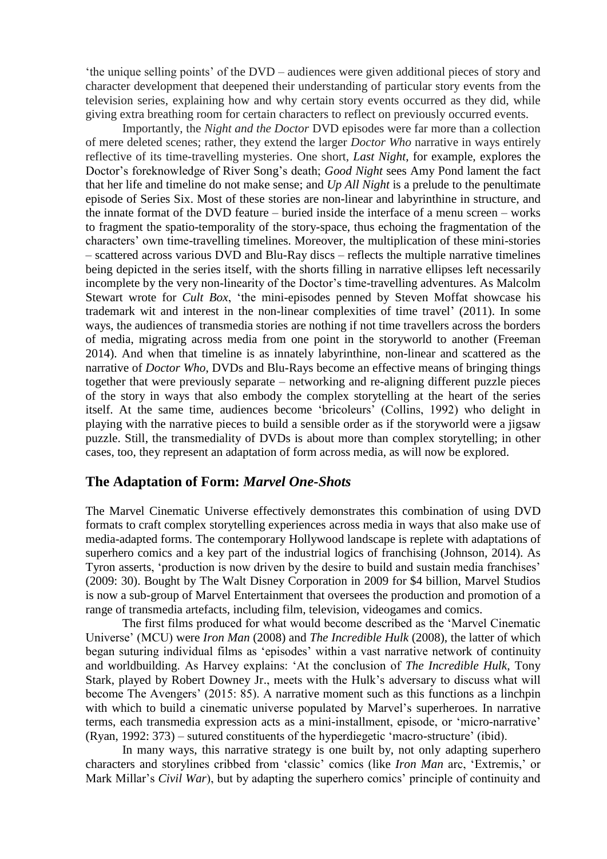'the unique selling points' of the DVD – audiences were given additional pieces of story and character development that deepened their understanding of particular story events from the television series, explaining how and why certain story events occurred as they did, while giving extra breathing room for certain characters to reflect on previously occurred events.

Importantly, the *Night and the Doctor* DVD episodes were far more than a collection of mere deleted scenes; rather, they extend the larger *Doctor Who* narrative in ways entirely reflective of its time-travelling mysteries. One short, *Last Night*, for example, explores the Doctor's foreknowledge of River Song's death; *Good Night* sees Amy Pond lament the fact that her life and timeline do not make sense; and *Up All Night* is a prelude to the penultimate episode of Series Six. Most of these stories are non-linear and labyrinthine in structure, and the innate format of the DVD feature – buried inside the interface of a menu screen – works to fragment the spatio-temporality of the story-space, thus echoing the fragmentation of the characters' own time-travelling timelines. Moreover, the multiplication of these mini-stories – scattered across various DVD and Blu-Ray discs – reflects the multiple narrative timelines being depicted in the series itself, with the shorts filling in narrative ellipses left necessarily incomplete by the very non-linearity of the Doctor's time-travelling adventures. As Malcolm Stewart wrote for *Cult Box*, 'the mini-episodes penned by Steven Moffat showcase his trademark wit and interest in the non-linear complexities of time travel' (2011). In some ways, the audiences of transmedia stories are nothing if not time travellers across the borders of media, migrating across media from one point in the storyworld to another (Freeman 2014). And when that timeline is as innately labyrinthine, non-linear and scattered as the narrative of *Doctor Who*, DVDs and Blu-Rays become an effective means of bringing things together that were previously separate – networking and re-aligning different puzzle pieces of the story in ways that also embody the complex storytelling at the heart of the series itself. At the same time, audiences become 'bricoleurs' (Collins, 1992) who delight in playing with the narrative pieces to build a sensible order as if the storyworld were a jigsaw puzzle. Still, the transmediality of DVDs is about more than complex storytelling; in other cases, too, they represent an adaptation of form across media, as will now be explored.

#### **The Adaptation of Form:** *Marvel One-Shots*

The Marvel Cinematic Universe effectively demonstrates this combination of using DVD formats to craft complex storytelling experiences across media in ways that also make use of media-adapted forms. The contemporary Hollywood landscape is replete with adaptations of superhero comics and a key part of the industrial logics of franchising (Johnson, 2014). As Tyron asserts, 'production is now driven by the desire to build and sustain media franchises' (2009: 30). Bought by The Walt Disney Corporation in 2009 for \$4 billion, Marvel Studios is now a sub-group of Marvel Entertainment that oversees the production and promotion of a range of transmedia artefacts, including film, television, videogames and comics.

The first films produced for what would become described as the 'Marvel Cinematic Universe' (MCU) were *Iron Man* (2008) and *The Incredible Hulk* (2008), the latter of which began suturing individual films as 'episodes' within a vast narrative network of continuity and worldbuilding. As Harvey explains: 'At the conclusion of *The Incredible Hulk*, Tony Stark, played by Robert Downey Jr., meets with the Hulk's adversary to discuss what will become The Avengers' (2015: 85). A narrative moment such as this functions as a linchpin with which to build a cinematic universe populated by Marvel's superheroes. In narrative terms, each transmedia expression acts as a mini-installment, episode, or 'micro-narrative' (Ryan, 1992: 373) – sutured constituents of the hyperdiegetic 'macro-structure' (ibid).

In many ways, this narrative strategy is one built by, not only adapting superhero characters and storylines cribbed from 'classic' comics (like *Iron Man* arc, 'Extremis,' or Mark Millar's *Civil War*), but by adapting the superhero comics' principle of continuity and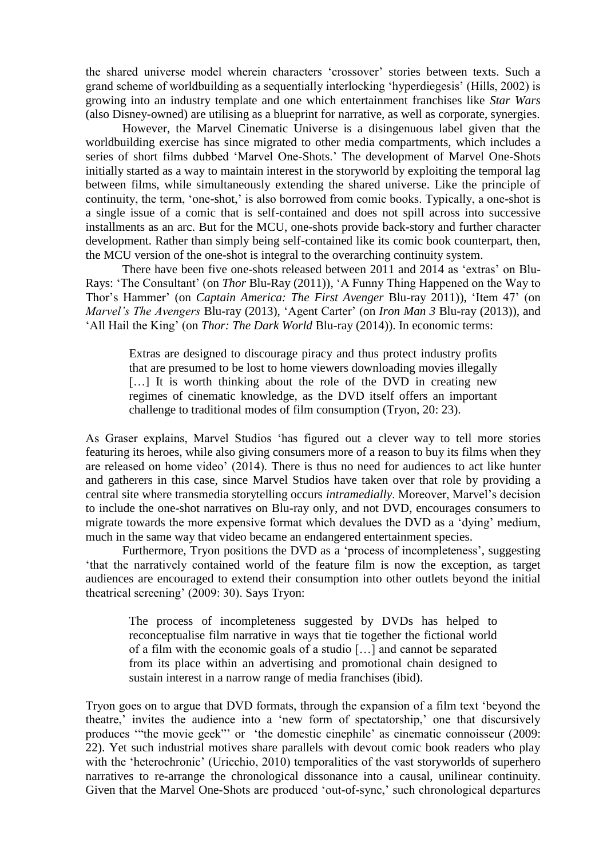the shared universe model wherein characters 'crossover' stories between texts. Such a grand scheme of worldbuilding as a sequentially interlocking 'hyperdiegesis' (Hills, 2002) is growing into an industry template and one which entertainment franchises like *Star Wars* (also Disney-owned) are utilising as a blueprint for narrative, as well as corporate, synergies.

However, the Marvel Cinematic Universe is a disingenuous label given that the worldbuilding exercise has since migrated to other media compartments, which includes a series of short films dubbed 'Marvel One-Shots.' The development of Marvel One-Shots initially started as a way to maintain interest in the storyworld by exploiting the temporal lag between films, while simultaneously extending the shared universe. Like the principle of continuity, the term, 'one-shot,' is also borrowed from comic books. Typically, a one-shot is a single issue of a comic that is self-contained and does not spill across into successive installments as an arc. But for the MCU, one-shots provide back-story and further character development. Rather than simply being self-contained like its comic book counterpart, then, the MCU version of the one-shot is integral to the overarching continuity system.

There have been five one-shots released between 2011 and 2014 as 'extras' on Blu-Rays: 'The Consultant' (on *Thor* Blu-Ray (2011)), 'A Funny Thing Happened on the Way to Thor's Hammer' (on *Captain America: The First Avenger* Blu-ray 2011)), 'Item 47' (on *Marvel's The Avengers* Blu-ray (2013), 'Agent Carter' (on *Iron Man 3* Blu-ray (2013)), and 'All Hail the King' (on *Thor: The Dark World* Blu-ray (2014)). In economic terms:

Extras are designed to discourage piracy and thus protect industry profits that are presumed to be lost to home viewers downloading movies illegally [...] It is worth thinking about the role of the DVD in creating new regimes of cinematic knowledge, as the DVD itself offers an important challenge to traditional modes of film consumption (Tryon, 20: 23).

As Graser explains, Marvel Studios 'has figured out a clever way to tell more stories featuring its heroes, while also giving consumers more of a reason to buy its films when they are released on home video' (2014). There is thus no need for audiences to act like hunter and gatherers in this case, since Marvel Studios have taken over that role by providing a central site where transmedia storytelling occurs *intramedially*. Moreover, Marvel's decision to include the one-shot narratives on Blu-ray only, and not DVD, encourages consumers to migrate towards the more expensive format which devalues the DVD as a 'dying' medium, much in the same way that video became an endangered entertainment species.

Furthermore, Tryon positions the DVD as a 'process of incompleteness', suggesting 'that the narratively contained world of the feature film is now the exception, as target audiences are encouraged to extend their consumption into other outlets beyond the initial theatrical screening' (2009: 30). Says Tryon:

The process of incompleteness suggested by DVDs has helped to reconceptualise film narrative in ways that tie together the fictional world of a film with the economic goals of a studio […] and cannot be separated from its place within an advertising and promotional chain designed to sustain interest in a narrow range of media franchises (ibid).

Tryon goes on to argue that DVD formats, through the expansion of a film text 'beyond the theatre,' invites the audience into a 'new form of spectatorship,' one that discursively produces '"the movie geek"' or 'the domestic cinephile' as cinematic connoisseur (2009: 22). Yet such industrial motives share parallels with devout comic book readers who play with the 'heterochronic' (Uricchio, 2010) temporalities of the vast storyworlds of superhero narratives to re-arrange the chronological dissonance into a causal, unilinear continuity. Given that the Marvel One-Shots are produced 'out-of-sync,' such chronological departures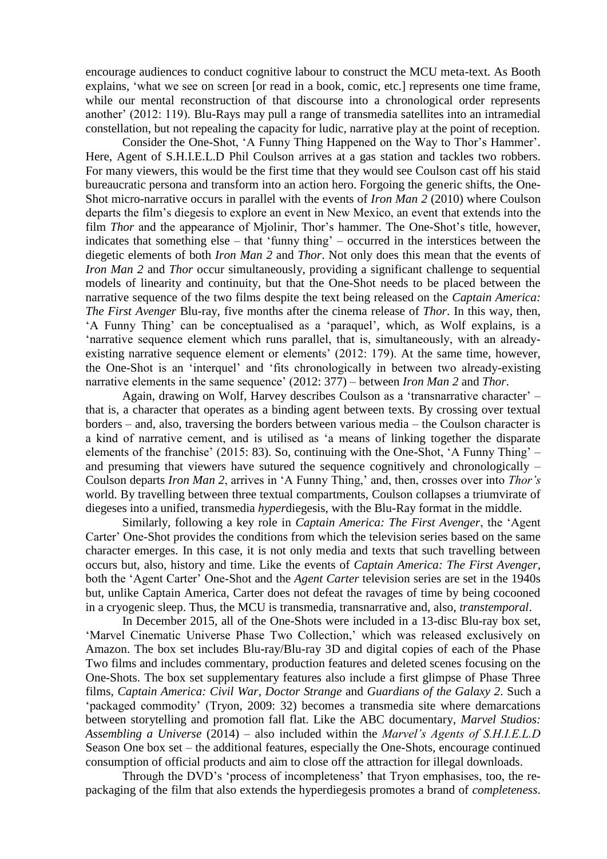encourage audiences to conduct cognitive labour to construct the MCU meta-text. As Booth explains, 'what we see on screen [or read in a book, comic, etc.] represents one time frame, while our mental reconstruction of that discourse into a chronological order represents another' (2012: 119). Blu-Rays may pull a range of transmedia satellites into an intramedial constellation, but not repealing the capacity for ludic, narrative play at the point of reception.

Consider the One-Shot, 'A Funny Thing Happened on the Way to Thor's Hammer'. Here, Agent of S.H.I.E.L.D Phil Coulson arrives at a gas station and tackles two robbers. For many viewers, this would be the first time that they would see Coulson cast off his staid bureaucratic persona and transform into an action hero. Forgoing the generic shifts, the One-Shot micro-narrative occurs in parallel with the events of *Iron Man 2* (2010) where Coulson departs the film's diegesis to explore an event in New Mexico, an event that extends into the film *Thor* and the appearance of Mjolinir, Thor's hammer. The One-Shot's title, however, indicates that something else – that 'funny thing' – occurred in the interstices between the diegetic elements of both *Iron Man 2* and *Thor*. Not only does this mean that the events of *Iron Man 2* and *Thor* occur simultaneously, providing a significant challenge to sequential models of linearity and continuity, but that the One-Shot needs to be placed between the narrative sequence of the two films despite the text being released on the *Captain America: The First Avenger* Blu-ray, five months after the cinema release of *Thor*. In this way, then, 'A Funny Thing' can be conceptualised as a 'paraquel', which, as Wolf explains, is a 'narrative sequence element which runs parallel, that is, simultaneously, with an alreadyexisting narrative sequence element or elements' (2012: 179). At the same time, however, the One-Shot is an 'interquel' and 'fits chronologically in between two already-existing narrative elements in the same sequence' (2012: 377) – between *Iron Man 2* and *Thor*.

Again, drawing on Wolf, Harvey describes Coulson as a 'transnarrative character' – that is, a character that operates as a binding agent between texts. By crossing over textual borders – and, also, traversing the borders between various media – the Coulson character is a kind of narrative cement, and is utilised as 'a means of linking together the disparate elements of the franchise' (2015: 83). So, continuing with the One-Shot, 'A Funny Thing' – and presuming that viewers have sutured the sequence cognitively and chronologically – Coulson departs *Iron Man 2*, arrives in 'A Funny Thing,' and, then, crosses over into *Thor's* world. By travelling between three textual compartments, Coulson collapses a triumvirate of diegeses into a unified, transmedia *hyper*diegesis, with the Blu-Ray format in the middle.

Similarly, following a key role in *Captain America: The First Avenger*, the 'Agent Carter' One-Shot provides the conditions from which the television series based on the same character emerges. In this case, it is not only media and texts that such travelling between occurs but, also, history and time. Like the events of *Captain America: The First Avenger*, both the 'Agent Carter' One-Shot and the *Agent Carter* television series are set in the 1940s but, unlike Captain America, Carter does not defeat the ravages of time by being cocooned in a cryogenic sleep. Thus, the MCU is transmedia, transnarrative and, also, *transtemporal*.

In December 2015, all of the One-Shots were included in a 13-disc Blu-ray box set, 'Marvel Cinematic Universe Phase Two Collection,' which was released exclusively on Amazon. The box set includes Blu-ray/Blu-ray 3D and digital copies of each of the Phase Two films and includes commentary, production features and deleted scenes focusing on the One-Shots. The box set supplementary features also include a first glimpse of Phase Three films, *Captain America: Civil War*, *Doctor Strange* and *Guardians of the Galaxy 2*. Such a 'packaged commodity' (Tryon, 2009: 32) becomes a transmedia site where demarcations between storytelling and promotion fall flat. Like the ABC documentary, *Marvel Studios: Assembling a Universe* (2014) – also included within the *Marvel's Agents of S.H.I.E.L.D* Season One box set – the additional features, especially the One-Shots, encourage continued consumption of official products and aim to close off the attraction for illegal downloads.

Through the DVD's 'process of incompleteness' that Tryon emphasises, too, the repackaging of the film that also extends the hyperdiegesis promotes a brand of *completeness*.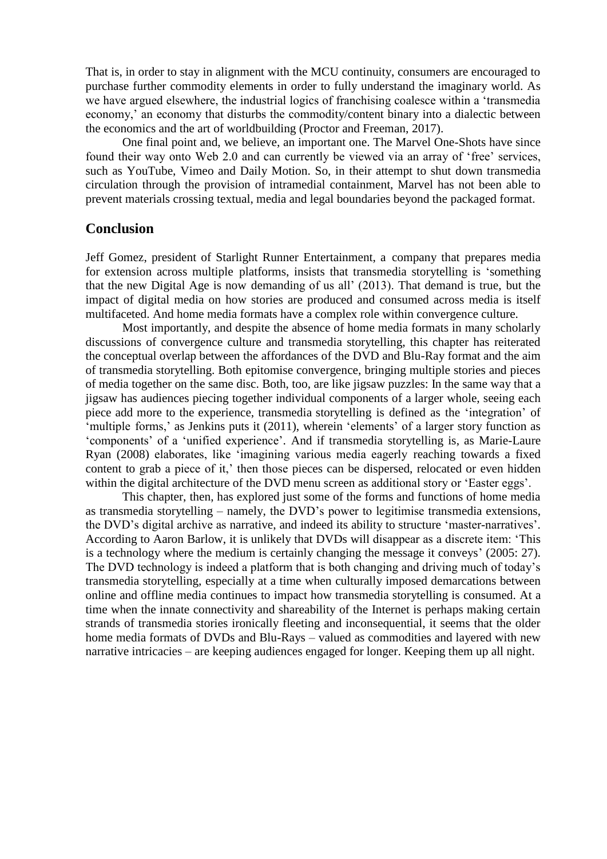That is, in order to stay in alignment with the MCU continuity, consumers are encouraged to purchase further commodity elements in order to fully understand the imaginary world. As we have argued elsewhere, the industrial logics of franchising coalesce within a 'transmedia economy,' an economy that disturbs the commodity/content binary into a dialectic between the economics and the art of worldbuilding (Proctor and Freeman, 2017).

One final point and, we believe, an important one. The Marvel One-Shots have since found their way onto Web 2.0 and can currently be viewed via an array of 'free' services, such as YouTube, Vimeo and Daily Motion. So, in their attempt to shut down transmedia circulation through the provision of intramedial containment, Marvel has not been able to prevent materials crossing textual, media and legal boundaries beyond the packaged format.

#### **Conclusion**

Jeff Gomez, president of Starlight Runner Entertainment, a company that prepares media for extension across multiple platforms, insists that transmedia storytelling is 'something that the new Digital Age is now demanding of us all' (2013). That demand is true, but the impact of digital media on how stories are produced and consumed across media is itself multifaceted. And home media formats have a complex role within convergence culture.

Most importantly, and despite the absence of home media formats in many scholarly discussions of convergence culture and transmedia storytelling, this chapter has reiterated the conceptual overlap between the affordances of the DVD and Blu-Ray format and the aim of transmedia storytelling. Both epitomise convergence, bringing multiple stories and pieces of media together on the same disc. Both, too, are like jigsaw puzzles: In the same way that a jigsaw has audiences piecing together individual components of a larger whole, seeing each piece add more to the experience, transmedia storytelling is defined as the 'integration' of 'multiple forms,' as Jenkins puts it (2011), wherein 'elements' of a larger story function as 'components' of a 'unified experience'. And if transmedia storytelling is, as Marie-Laure Ryan (2008) elaborates, like 'imagining various media eagerly reaching towards a fixed content to grab a piece of it,' then those pieces can be dispersed, relocated or even hidden within the digital architecture of the DVD menu screen as additional story or 'Easter eggs'.

This chapter, then, has explored just some of the forms and functions of home media as transmedia storytelling – namely, the DVD's power to legitimise transmedia extensions, the DVD's digital archive as narrative, and indeed its ability to structure 'master-narratives'. According to Aaron Barlow, it is unlikely that DVDs will disappear as a discrete item: 'This is a technology where the medium is certainly changing the message it conveys' (2005: 27). The DVD technology is indeed a platform that is both changing and driving much of today's transmedia storytelling, especially at a time when culturally imposed demarcations between online and offline media continues to impact how transmedia storytelling is consumed. At a time when the innate connectivity and shareability of the Internet is perhaps making certain strands of transmedia stories ironically fleeting and inconsequential, it seems that the older home media formats of DVDs and Blu-Rays – valued as commodities and layered with new narrative intricacies – are keeping audiences engaged for longer. Keeping them up all night.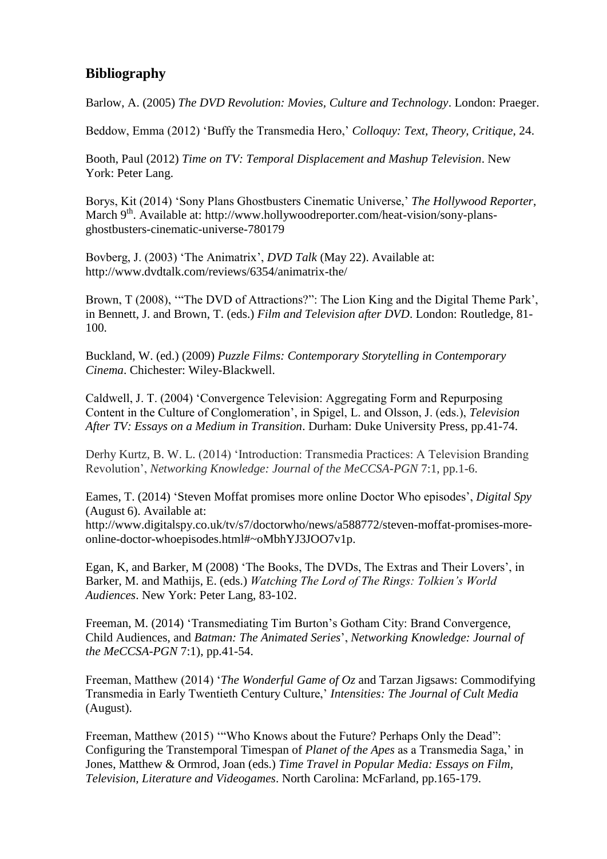# **Bibliography**

Barlow, A. (2005) *The DVD Revolution: Movies, Culture and Technology*. London: Praeger.

Beddow, Emma (2012) 'Buffy the Transmedia Hero,' *Colloquy: Text, Theory, Critique*, 24.

Booth, Paul (2012) *Time on TV: Temporal Displacement and Mashup Television*. New York: Peter Lang.

Borys, Kit (2014) 'Sony Plans Ghostbusters Cinematic Universe,' *The Hollywood Reporter*, March 9<sup>th</sup>. Available at: http://www.hollywoodreporter.com/heat-vision/sony-plansghostbusters-cinematic-universe-780179

Bovberg, J. (2003) 'The Animatrix', *DVD Talk* (May 22). Available at: http://www.dvdtalk.com/reviews/6354/animatrix-the/

Brown, T (2008), "The DVD of Attractions?": The Lion King and the Digital Theme Park', in Bennett, J. and Brown, T. (eds.) *Film and Television after DVD*. London: Routledge, 81- 100.

Buckland, W. (ed.) (2009) *Puzzle Films: Contemporary Storytelling in Contemporary Cinema*. Chichester: Wiley-Blackwell.

Caldwell, J. T. (2004) 'Convergence Television: Aggregating Form and Repurposing Content in the Culture of Conglomeration', in Spigel, L. and Olsson, J. (eds.), *Television After TV: Essays on a Medium in Transition*. Durham: Duke University Press, pp.41-74.

Derhy Kurtz, B. W. L. (2014) 'Introduction: Transmedia Practices: A Television Branding Revolution', *Networking Knowledge: Journal of the MeCCSA-PGN* 7:1, pp.1-6.

Eames, T. (2014) 'Steven Moffat promises more online Doctor Who episodes', *Digital Spy* (August 6). Available at:

http://www.digitalspy.co.uk/tv/s7/doctorwho/news/a588772/steven-moffat-promises-moreonline-doctor-whoepisodes.html#~oMbhYJ3JOO7v1p.

Egan, K, and Barker, M (2008) 'The Books, The DVDs, The Extras and Their Lovers', in Barker, M. and Mathijs, E. (eds.) *Watching The Lord of The Rings: Tolkien's World Audiences*. New York: Peter Lang, 83-102.

Freeman, M. (2014) 'Transmediating Tim Burton's Gotham City: Brand Convergence, Child Audiences, and *Batman: The Animated Series*', *Networking Knowledge: Journal of the MeCCSA-PGN* 7:1), pp.41-54.

Freeman, Matthew (2014) '*The Wonderful Game of Oz* and Tarzan Jigsaws: Commodifying Transmedia in Early Twentieth Century Culture,' *Intensities: The Journal of Cult Media* (August).

Freeman, Matthew (2015) "'Who Knows about the Future? Perhaps Only the Dead": Configuring the Transtemporal Timespan of *Planet of the Apes* as a Transmedia Saga,' in Jones, Matthew & Ormrod, Joan (eds.) *Time Travel in Popular Media: Essays on Film, Television, Literature and Videogames*. North Carolina: McFarland, pp.165-179.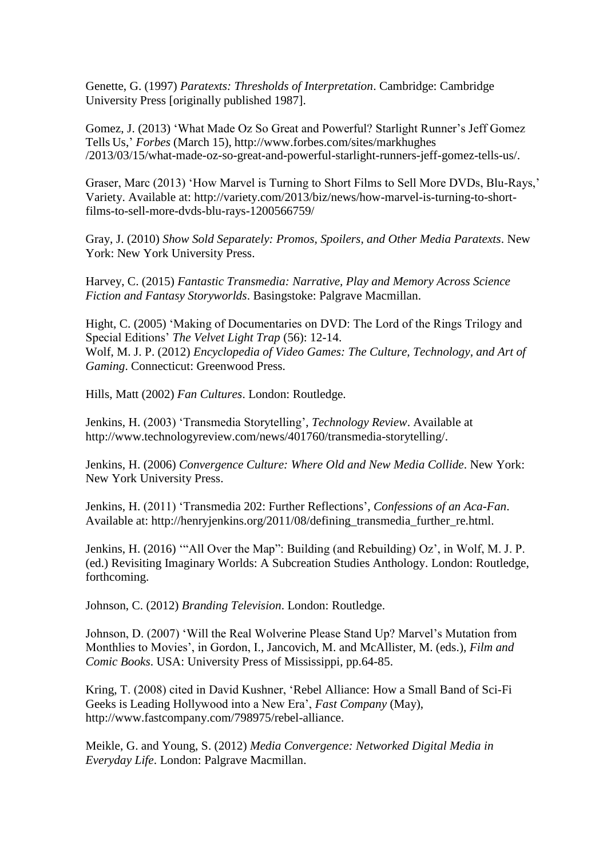Genette, G. (1997) *Paratexts: Thresholds of Interpretation*. Cambridge: Cambridge University Press [originally published 1987].

Gomez, J. (2013) 'What Made Oz So Great and Powerful? Starlight Runner's Jeff Gomez Tells Us,' *Forbes* (March 15), <http://www.forbes.com/sites/markhughes> /2013/03/15/what-made-oz-so-great-and-powerful-starlight-runners-jeff-gomez-tells-us/.

Graser, Marc (2013) 'How Marvel is Turning to Short Films to Sell More DVDs, Blu-Rays,' Variety. Available at: http://variety.com/2013/biz/news/how-marvel-is-turning-to-shortfilms-to-sell-more-dvds-blu-rays-1200566759/

Gray, J. (2010) *Show Sold Separately: Promos, Spoilers, and Other Media Paratexts*. New York: New York University Press.

Harvey, C. (2015) *Fantastic Transmedia: Narrative, Play and Memory Across Science Fiction and Fantasy Storyworlds*. Basingstoke: Palgrave Macmillan.

Hight, C. (2005) 'Making of Documentaries on DVD: The Lord of the Rings Trilogy and Special Editions' *The Velvet Light Trap* (56): 12-14. Wolf, M. J. P. (2012) *Encyclopedia of Video Games: The Culture, Technology, and Art of Gaming*. Connecticut: Greenwood Press.

Hills, Matt (2002) *Fan Cultures*. London: Routledge.

Jenkins, H. (2003) 'Transmedia Storytelling', *Technology Review*. Available at http://www.technologyreview.com/news/401760/transmedia-storytelling/.

Jenkins, H. (2006) *Convergence Culture: Where Old and New Media Collide*. New York: New York University Press.

Jenkins, H. (2011) 'Transmedia 202: Further Reflections', *Confessions of an Aca-Fan*. Available at: http://henryjenkins.org/2011/08/defining\_transmedia\_further\_re.html.

Jenkins, H. (2016) '"All Over the Map": Building (and Rebuilding) Oz', in Wolf, M. J. P. (ed.) Revisiting Imaginary Worlds: A Subcreation Studies Anthology. London: Routledge, forthcoming.

Johnson, C. (2012) *Branding Television*. London: Routledge.

Johnson, D. (2007) 'Will the Real Wolverine Please Stand Up? Marvel's Mutation from Monthlies to Movies', in Gordon, I., Jancovich, M. and McAllister, M. (eds.), *Film and Comic Books*. USA: University Press of Mississippi, pp.64-85.

Kring, T. (2008) cited in David Kushner, 'Rebel Alliance: How a Small Band of Sci-Fi Geeks is Leading Hollywood into a New Era', *Fast Company* (May), [http://www.fastcompany.com/798975/rebel-alliance.](http://www.fastcompany.com/798975/rebel-alliance)

Meikle, G. and Young, S. (2012) *Media Convergence: Networked Digital Media in Everyday Life*. London: Palgrave Macmillan.